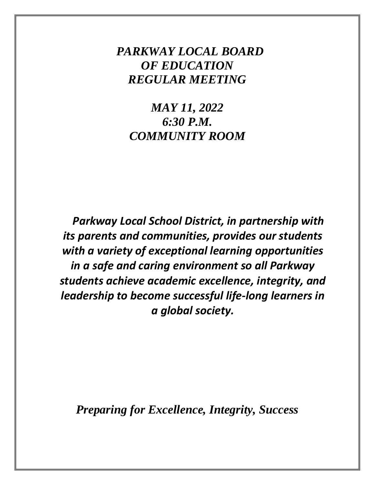# *PARKWAY LOCAL BOARD OF EDUCATION REGULAR MEETING*

*MAY 11, 2022 6:30 P.M. COMMUNITY ROOM*

*Parkway Local School District, in partnership with its parents and communities, provides our students with a variety of exceptional learning opportunities in a safe and caring environment so all Parkway students achieve academic excellence, integrity, and leadership to become successful life-long learners in a global society.*

*Preparing for Excellence, Integrity, Success*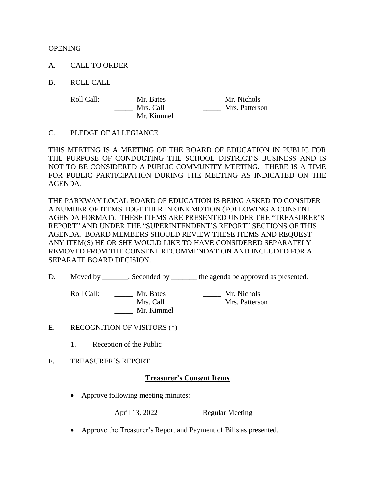**OPENING** 

- A. CALL TO ORDER
- B. ROLL CALL

Mr. Kimmel

Roll Call: \_\_\_\_\_ Mr. Bates \_\_\_\_\_ Mr. Nichols \_\_\_\_\_ Mrs. Call \_\_\_\_\_ Mrs. Patterson

#### C. PLEDGE OF ALLEGIANCE

THIS MEETING IS A MEETING OF THE BOARD OF EDUCATION IN PUBLIC FOR THE PURPOSE OF CONDUCTING THE SCHOOL DISTRICT'S BUSINESS AND IS NOT TO BE CONSIDERED A PUBLIC COMMUNITY MEETING. THERE IS A TIME FOR PUBLIC PARTICIPATION DURING THE MEETING AS INDICATED ON THE AGENDA.

THE PARKWAY LOCAL BOARD OF EDUCATION IS BEING ASKED TO CONSIDER A NUMBER OF ITEMS TOGETHER IN ONE MOTION (FOLLOWING A CONSENT AGENDA FORMAT). THESE ITEMS ARE PRESENTED UNDER THE "TREASURER'S REPORT" AND UNDER THE "SUPERINTENDENT'S REPORT" SECTIONS OF THIS AGENDA. BOARD MEMBERS SHOULD REVIEW THESE ITEMS AND REQUEST ANY ITEM(S) HE OR SHE WOULD LIKE TO HAVE CONSIDERED SEPARATELY REMOVED FROM THE CONSENT RECOMMENDATION AND INCLUDED FOR A SEPARATE BOARD DECISION.

D. Moved by \_\_\_\_\_\_, Seconded by \_\_\_\_\_\_\_ the agenda be approved as presented.

Roll Call: \_\_\_\_\_\_ Mr. Bates \_\_\_\_\_\_ Mr. Nichols<br>Mrs. Call \_\_\_\_\_\_ Mr. Nichols<br>Mrs. Patterso \_\_\_\_\_ Mrs. Call \_\_\_\_\_ Mrs. Patterson

- E. RECOGNITION OF VISITORS (\*)
	- 1. Reception of the Public
- F. TREASURER'S REPORT

## **Treasurer's Consent Items**

• Approve following meeting minutes:

Mr. Kimmel

April 13, 2022 Regular Meeting

• Approve the Treasurer's Report and Payment of Bills as presented.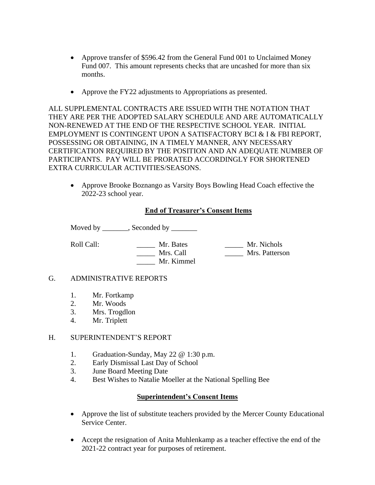- Approve transfer of \$596.42 from the General Fund 001 to Unclaimed Money Fund 007. This amount represents checks that are uncashed for more than six months.
- Approve the FY22 adjustments to Appropriations as presented.

ALL SUPPLEMENTAL CONTRACTS ARE ISSUED WITH THE NOTATION THAT THEY ARE PER THE ADOPTED SALARY SCHEDULE AND ARE AUTOMATICALLY NON-RENEWED AT THE END OF THE RESPECTIVE SCHOOL YEAR. INITIAL EMPLOYMENT IS CONTINGENT UPON A SATISFACTORY BCI & I & FBI REPORT, POSSESSING OR OBTAINING, IN A TIMELY MANNER, ANY NECESSARY CERTIFICATION REQUIRED BY THE POSITION AND AN ADEQUATE NUMBER OF PARTICIPANTS. PAY WILL BE PRORATED ACCORDINGLY FOR SHORTENED EXTRA CURRICULAR ACTIVITIES/SEASONS.

• Approve Brooke Boznango as Varsity Boys Bowling Head Coach effective the 2022-23 school year.

## **End of Treasurer's Consent Items**

Moved by \_\_\_\_\_\_\_, Seconded by \_\_\_\_\_\_\_

Roll Call: \_\_\_\_\_\_\_\_\_\_ Mr. Bates \_\_\_\_\_\_\_ Mr. Nichols \_\_\_\_\_ Mrs. Call \_\_\_\_\_ Mrs. Patterson \_\_\_\_\_ Mr. Kimmel

#### G. ADMINISTRATIVE REPORTS

- 1. Mr. Fortkamp
- 2. Mr. Woods
- 3. Mrs. Trogdlon<br>4. Mr. Triplett
- Mr. Triplett

#### H. SUPERINTENDENT'S REPORT

- 1. Graduation-Sunday, May 22 @ 1:30 p.m.
- 2. Early Dismissal Last Day of School
- 3. June Board Meeting Date
- 4. Best Wishes to Natalie Moeller at the National Spelling Bee

## **Superintendent's Consent Items**

- Approve the list of substitute teachers provided by the Mercer County Educational Service Center.
- Accept the resignation of Anita Muhlenkamp as a teacher effective the end of the 2021-22 contract year for purposes of retirement.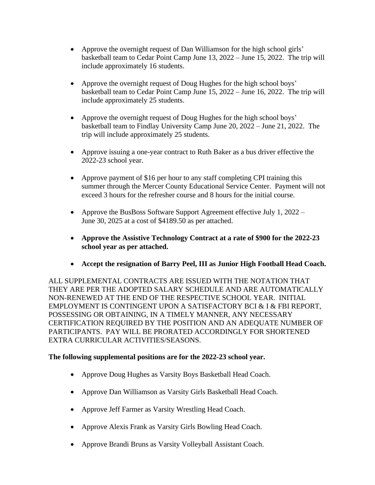- Approve the overnight request of Dan Williamson for the high school girls' basketball team to Cedar Point Camp June 13, 2022 – June 15, 2022. The trip will include approximately 16 students.
- Approve the overnight request of Doug Hughes for the high school boys' basketball team to Cedar Point Camp June 15, 2022 – June 16, 2022. The trip will include approximately 25 students.
- Approve the overnight request of Doug Hughes for the high school boys' basketball team to Findlay University Camp June 20, 2022 – June 21, 2022. The trip will include approximately 25 students.
- Approve issuing a one-year contract to Ruth Baker as a bus driver effective the 2022-23 school year.
- Approve payment of \$16 per hour to any staff completing CPI training this summer through the Mercer County Educational Service Center. Payment will not exceed 3 hours for the refresher course and 8 hours for the initial course.
- Approve the BusBoss Software Support Agreement effective July 1, 2022 June 30, 2025 at a cost of \$4189.50 as per attached.
- **Approve the Assistive Technology Contract at a rate of \$900 for the 2022-23 school year as per attached.**
- **Accept the resignation of Barry Peel, III as Junior High Football Head Coach.**

ALL SUPPLEMENTAL CONTRACTS ARE ISSUED WITH THE NOTATION THAT THEY ARE PER THE ADOPTED SALARY SCHEDULE AND ARE AUTOMATICALLY NON-RENEWED AT THE END OF THE RESPECTIVE SCHOOL YEAR. INITIAL EMPLOYMENT IS CONTINGENT UPON A SATISFACTORY BCI & I & FBI REPORT, POSSESSING OR OBTAINING, IN A TIMELY MANNER, ANY NECESSARY CERTIFICATION REQUIRED BY THE POSITION AND AN ADEQUATE NUMBER OF PARTICIPANTS. PAY WILL BE PRORATED ACCORDINGLY FOR SHORTENED EXTRA CURRICULAR ACTIVITIES/SEASONS.

## **The following supplemental positions are for the 2022-23 school year.**

- Approve Doug Hughes as Varsity Boys Basketball Head Coach.
- Approve Dan Williamson as Varsity Girls Basketball Head Coach.
- Approve Jeff Farmer as Varsity Wrestling Head Coach.
- Approve Alexis Frank as Varsity Girls Bowling Head Coach.
- Approve Brandi Bruns as Varsity Volleyball Assistant Coach.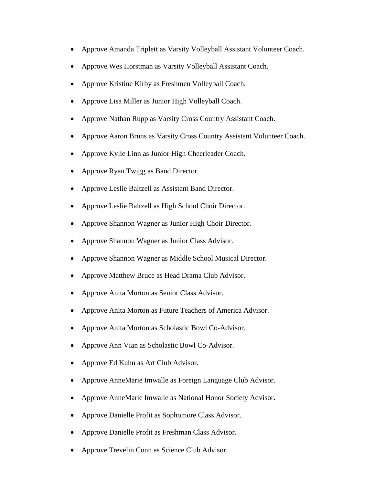- Approve Amanda Triplett as Varsity Volleyball Assistant Volunteer Coach.
- Approve Wes Horstman as Varsity Volleyball Assistant Coach.
- Approve Kristine Kirby as Freshmen Volleyball Coach.
- Approve Lisa Miller as Junior High Volleyball Coach.
- Approve Nathan Rupp as Varsity Cross Country Assistant Coach.
- Approve Aaron Bruns as Varsity Cross Country Assistant Volunteer Coach.
- Approve Kylie Linn as Junior High Cheerleader Coach.
- Approve Ryan Twigg as Band Director.
- Approve Leslie Baltzell as Assistant Band Director.
- Approve Leslie Baltzell as High School Choir Director.
- Approve Shannon Wagner as Junior High Choir Director.
- Approve Shannon Wagner as Junior Class Advisor.
- Approve Shannon Wagner as Middle School Musical Director.
- Approve Matthew Bruce as Head Drama Club Advisor.
- Approve Anita Morton as Senior Class Advisor.
- Approve Anita Morton as Future Teachers of America Advisor.
- Approve Anita Morton as Scholastic Bowl Co-Advisor.
- Approve Ann Vian as Scholastic Bowl Co-Advisor.
- Approve Ed Kuhn as Art Club Advisor.
- Approve AnneMarie Imwalle as Foreign Language Club Advisor.
- Approve AnneMarie Imwalle as National Honor Society Advisor.
- Approve Danielle Profit as Sophomore Class Advisor.
- Approve Danielle Profit as Freshman Class Advisor.
- Approve Trevelin Conn as Science Club Advisor.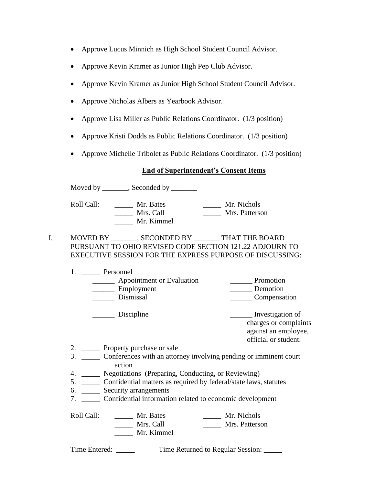- Approve Lucus Minnich as High School Student Council Advisor.
- Approve Kevin Kramer as Junior High Pep Club Advisor.
- Approve Kevin Kramer as Junior High School Student Council Advisor.
- Approve Nicholas Albers as Yearbook Advisor.
- Approve Lisa Miller as Public Relations Coordinator. (1/3 position)
- Approve Kristi Dodds as Public Relations Coordinator. (1/3 position)
- Approve Michelle Tribolet as Public Relations Coordinator. (1/3 position)

## **End of Superintendent's Consent Items**

Moved by \_\_\_\_\_\_, Seconded by \_\_\_\_\_\_

Roll Call: \_\_\_\_\_\_ Mr. Bates \_\_\_\_\_\_ Mr. Nichols \_\_\_\_\_ Mrs. Call \_\_\_\_\_ Mrs. Patterson \_\_\_\_\_ Mr. Kimmel

## I. MOVED BY \_\_\_\_\_\_\_, SECONDED BY \_\_\_\_\_\_\_ THAT THE BOARD PURSUANT TO OHIO REVISED CODE SECTION 121.22 ADJOURN TO EXECUTIVE SESSION FOR THE EXPRESS PURPOSE OF DISCUSSING:

| Personnel                                            |                                       |
|------------------------------------------------------|---------------------------------------|
| Appointment or Evaluation<br>Employment<br>Dismissal | Promotion<br>Demotion<br>Compensation |
|                                                      |                                       |

Discipline **Investigation** of charges or complaints against an employee, official or student.

- 2. \_\_\_\_\_\_\_ Property purchase or sale
- 3. \_\_\_\_\_ Conferences with an attorney involving pending or imminent court action
- 4. \_\_\_\_\_ Negotiations (Preparing, Conducting, or Reviewing)
- 5. \_\_\_\_\_ Confidential matters as required by federal/state laws, statutes
- 6. \_\_\_\_\_ Security arrangements
- 7. \_\_\_\_\_ Confidential information related to economic development

Roll Call: \_\_\_\_\_\_ Mr. Bates \_\_\_\_\_\_ Mr. Nichols \_\_\_\_\_ Mrs. Call \_\_\_\_\_ Mrs. Patterson \_\_\_\_\_ Mr. Kimmel

Time Entered: \_\_\_\_\_ Time Returned to Regular Session: \_\_\_\_